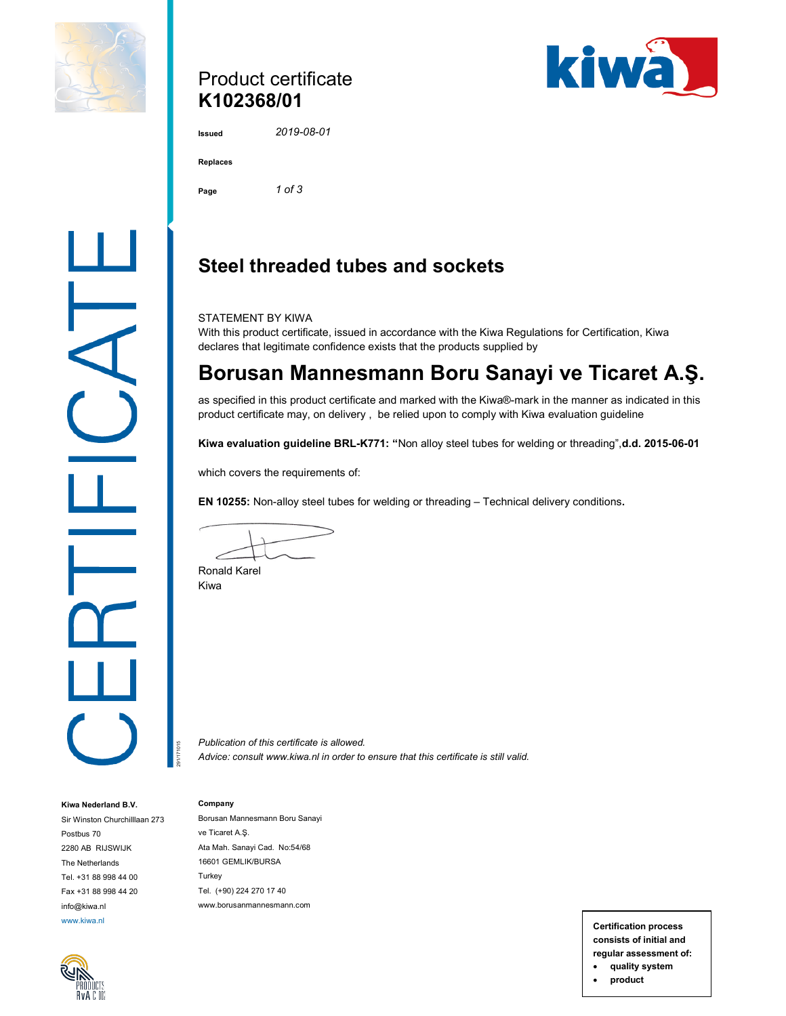

### Product certificate K102368/01



2019-08-01

| <b>Replaces</b> |  |
|-----------------|--|
|                 |  |

Page 1 of 3

## Steel threaded tubes and sockets

STATEMENT BY KIWA

With this product certificate, issued in accordance with the Kiwa Regulations for Certification, Kiwa declares that legitimate confidence exists that the products supplied by

# Borusan Mannesmann Boru Sanayi ve Ticaret A.Ş.

as specified in this product certificate and marked with the Kiwa®-mark in the manner as indicated in this product certificate may, on delivery , be relied upon to comply with Kiwa evaluation guideline

Kiwa evaluation guideline BRL-K771: "Non alloy steel tubes for welding or threading",d.d. 2015-06-01

which covers the requirements of:

EN 10255: Non-alloy steel tubes for welding or threading – Technical delivery conditions.

Ronald Karel Kiwa

Company

Publication of this certificate is allowed. Advice: consult www.kiwa.nl in order to ensure that this certificate is still valid.

#### Kiwa Nederland B.V.

Sir Winston Churchilllaan 273 Postbus 70 2280 AB RIJSWIJK The Netherlands Tel. +31 88 998 44 00 Fax +31 88 998 44 20 info@kiwa.nl



Borusan Mannesmann Boru Sanayi ve Ticaret A.Ş. Ata Mah. Sanayi Cad. No:54/68 16601 GEMLIK/BURSA **Turkey** Tel. (+90) 224 270 17 40 www.borusanmannesmann.com Probincation of this certificate is showed.<br>
Advice: consult www.kiwa.nl in order to ensure that this certificate is still valid.<br>
Advice: consult www.kiwa.nl in order to ensure that this certificate is still valid.<br>
At Ma

www.kiwa.nl **Certification process** consists of initial and regular assessment of:

quality system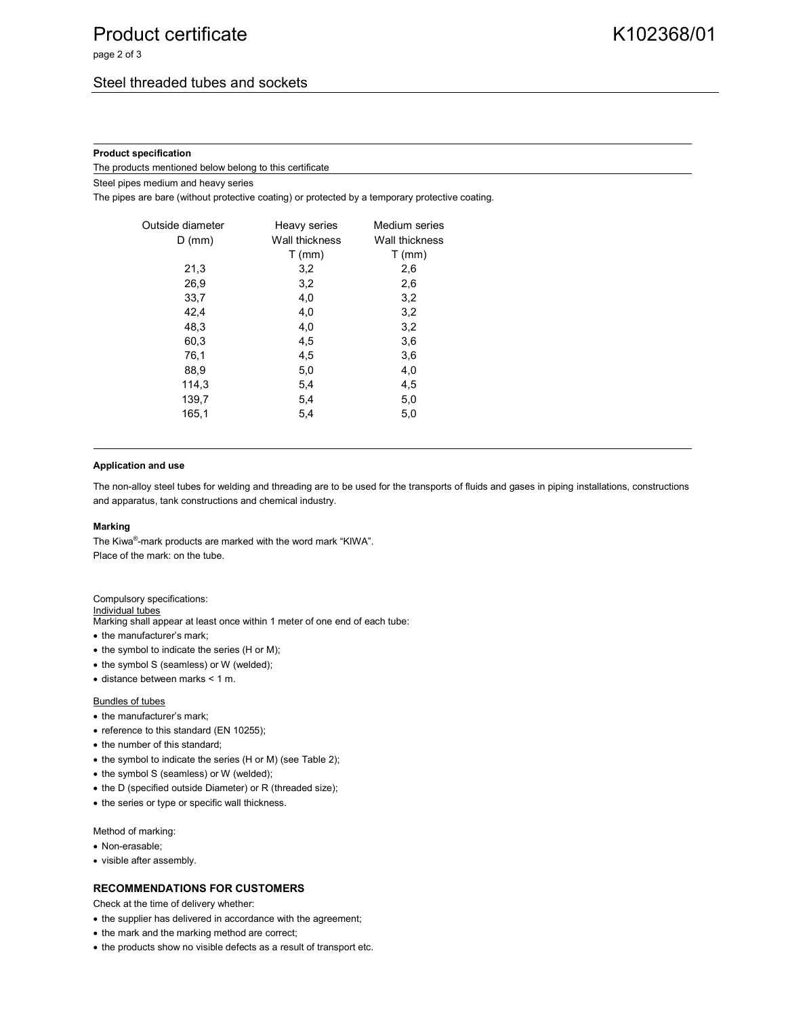page 2 of 3

#### Product specification

The products mentioned below belong to this certificate

Steel pipes medium and heavy series

The pipes are bare (without protective coating) or protected by a temporary protective coating.

| Outside diameter | Heavy series   | Medium series  |
|------------------|----------------|----------------|
| $D$ (mm)         | Wall thickness | Wall thickness |
|                  | $T$ (mm)       | $T$ (mm)       |
| 21,3             | 3,2            | 2,6            |
| 26,9             | 3,2            | 2,6            |
| 33,7             | 4,0            | 3,2            |
| 42,4             | 4,0            | 3,2            |
| 48,3             | 4,0            | 3,2            |
| 60,3             | 4,5            | 3,6            |
| 76,1             | 4,5            | 3,6            |
| 88,9             | 5,0            | 4,0            |
| 114,3            | 5,4            | 4,5            |
| 139,7            | 5,4            | 5,0            |
| 165,1            | 5,4            | 5,0            |
|                  |                |                |

#### Application and use

The non-alloy steel tubes for welding and threading are to be used for the transports of fluids and gases in piping installations, constructions and apparatus, tank constructions and chemical industry.

#### Marking

The Kiwa® -mark products are marked with the word mark "KIWA". Place of the mark: on the tube.

#### Compulsory specifications:

Individual tubes Marking shall appear at least once within 1 meter of one end of each tube:

- the manufacturer's mark;
- $\bullet$  the symbol to indicate the series (H or M);
- the symbol S (seamless) or W (welded);
- distance between marks < 1 m.

#### Bundles of tubes

- the manufacturer's mark;
- reference to this standard (EN 10255);
- the number of this standard;
- the symbol to indicate the series (H or M) (see Table 2);
- the symbol S (seamless) or W (welded);
- the D (specified outside Diameter) or R (threaded size);
- the series or type or specific wall thickness.

Method of marking:

- Non-erasable;
- visible after assembly.

#### RECOMMENDATIONS FOR CUSTOMERS

Check at the time of delivery whether:

- the supplier has delivered in accordance with the agreement;
- the mark and the marking method are correct;
- the products show no visible defects as a result of transport etc.